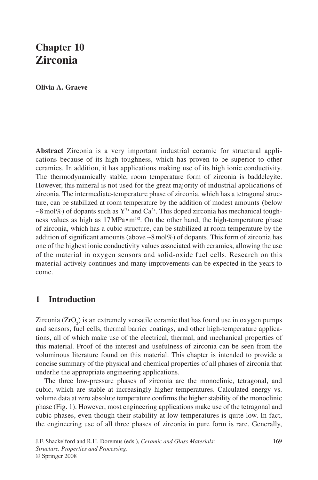# **Chapter 10 Zirconia**

**Olivia A. Graeve**

**Abstract** Zirconia is a very important industrial ceramic for structural applications because of its high toughness, which has proven to be superior to other ceramics. In addition, it has applications making use of its high ionic conductivity. The thermodynamically stable, room temperature form of zirconia is baddeleyite. However, this mineral is not used for the great majority of industrial applications of zirconia. The intermediate-temperature phase of zirconia, which has a tetragonal structure, can be stabilized at room temperature by the addition of modest amounts (below  $~\sim$ 8 mol%) of dopants such as Y<sup>3+</sup> and Ca<sup>2+</sup>. This doped zirconia has mechanical toughness values as high as  $17 MPa \cdot m^{1/2}$ . On the other hand, the high-temperature phase of zirconia, which has a cubic structure, can be stabilized at room temperature by the addition of significant amounts (above ∼8 mol%) of dopants. This form of zirconia has one of the highest ionic conductivity values associated with ceramics, allowing the use of the material in oxygen sensors and solid-oxide fuel cells. Research on this material actively continues and many improvements can be expected in the years to come.

# **1 Introduction**

Zirconia  $(ZrO<sub>2</sub>)$  is an extremely versatile ceramic that has found use in oxygen pumps and sensors, fuel cells, thermal barrier coatings, and other high-temperature applications, all of which make use of the electrical, thermal, and mechanical properties of this material. Proof of the interest and usefulness of zirconia can be seen from the voluminous literature found on this material. This chapter is intended to provide a concise summary of the physical and chemical properties of all phases of zirconia that underlie the appropriate engineering applications.

The three low-pressure phases of zirconia are the monoclinic, tetragonal, and cubic, which are stable at increasingly higher temperatures. Calculated energy vs. volume data at zero absolute temperature confirms the higher stability of the monoclinic phase (Fig. 1). However, most engineering applications make use of the tetragonal and cubic phases, even though their stability at low temperatures is quite low. In fact, the engineering use of all three phases of zirconia in pure form is rare. Generally,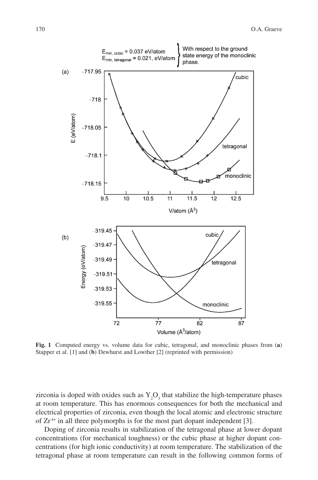

**Fig. 1** Computed energy vs. volume data for cubic, tetragonal, and monoclinic phases from (**a**) Stapper et al. [1] and (**b**) Dewhurst and Lowther [2] (reprinted with permission)

zirconia is doped with oxides such as  $Y_2O_3$  that stabilize the high-temperature phases at room temperature. This has enormous consequences for both the mechanical and electrical properties of zirconia, even though the local atomic and electronic structure of  $Zr^{4+}$  in all three polymorphs is for the most part dopant independent [3].

Doping of zirconia results in stabilization of the tetragonal phase at lower dopant concentrations (for mechanical toughness) or the cubic phase at higher dopant concentrations (for high ionic conductivity) at room temperature. The stabilization of the tetragonal phase at room temperature can result in the following common forms of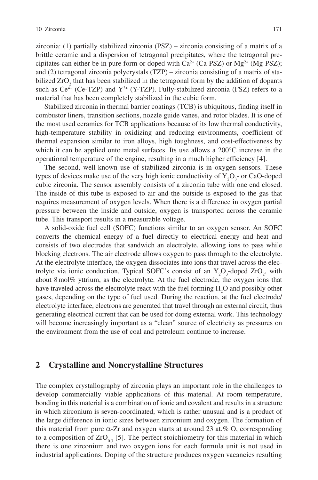zirconia: (1) partially stabilized zirconia (PSZ) – zirconia consisting of a matrix of a brittle ceramic and a dispersion of tetragonal precipitates, where the tetragonal precipitates can either be in pure form or doped with  $Ca^{2+}$  (Ca-PSZ) or Mg<sup>2+</sup> (Mg-PSZ); and (2) tetragonal zirconia polycrystals (TZP) – zirconia consisting of a matrix of stabilized  $ZrO_2$  that has been stabilized in the tetragonal form by the addition of dopants such as  $Ce^{4+}$  (Ce-TZP) and  $Y^{3+}$  (Y-TZP). Fully-stabilized zirconia (FSZ) refers to a material that has been completely stabilized in the cubic form.

Stabilized zirconia in thermal barrier coatings (TCB) is ubiquitous, finding itself in combustor liners, transition sections, nozzle guide vanes, and rotor blades. It is one of the most used ceramics for TCB applications because of its low thermal conductivity, high-temperature stability in oxidizing and reducing environments, coefficient of thermal expansion similar to iron alloys, high toughness, and cost-effectiveness by which it can be applied onto metal surfaces. Its use allows a 200°C increase in the operational temperature of the engine, resulting in a much higher efficiency [4].

The second, well-known use of stabilized zirconia is in oxygen sensors. These types of devices make use of the very high ionic conductivity of  $Y_2O_3$ - or CaO-doped cubic zirconia. The sensor assembly consists of a zirconia tube with one end closed. The inside of this tube is exposed to air and the outside is exposed to the gas that requires measurement of oxygen levels. When there is a difference in oxygen partial pressure between the inside and outside, oxygen is transported across the ceramic tube. This transport results in a measurable voltage.

A solid-oxide fuel cell (SOFC) functions similar to an oxygen sensor. An SOFC converts the chemical energy of a fuel directly to electrical energy and heat and consists of two electrodes that sandwich an electrolyte, allowing ions to pass while blocking electrons. The air electrode allows oxygen to pass through to the electrolyte. At the electrolyte interface, the oxygen dissociates into ions that travel across the electrolyte via ionic conduction. Typical SOFC's consist of an  $Y_2O_3$ -doped  $ZrO_2$ , with about 8 mol% yttrium, as the electrolyte. At the fuel electrode, the oxygen ions that have traveled across the electrolyte react with the fuel forming  $H_2O$  and possibly other gases, depending on the type of fuel used. During the reaction, at the fuel electrode/ electrolyte interface, electrons are generated that travel through an external circuit, thus generating electrical current that can be used for doing external work. This technology will become increasingly important as a "clean" source of electricity as pressures on the environment from the use of coal and petroleum continue to increase.

#### **2 Crystalline and Noncrystalline Structures**

The complex crystallography of zirconia plays an important role in the challenges to develop commercially viable applications of this material. At room temperature, bonding in this material is a combination of ionic and covalent and results in a structure in which zirconium is seven-coordinated, which is rather unusual and is a product of the large difference in ionic sizes between zirconium and oxygen. The formation of this material from pure  $\alpha$ -Zr and oxygen starts at around 23 at.% O, corresponding to a composition of  $ZrO_{03}$  [5]. The perfect stoichiometry for this material in which there is one zirconium and two oxygen ions for each formula unit is not used in industrial applications. Doping of the structure produces oxygen vacancies resulting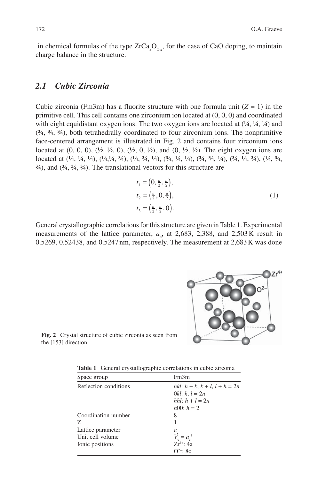in chemical formulas of the type  $ZrCa<sub>x</sub>O<sub>2-x</sub>$ , for the case of CaO doping, to maintain charge balance in the structure.

## *2.1 Cubic Zirconia*

Cubic zirconia (Fm3m) has a fluorite structure with one formula unit  $(Z = 1)$  in the primitive cell. This cell contains one zirconium ion located at (0, 0, 0) and coordinated with eight equidistant oxygen ions. The two oxygen ions are located at  $(1/4, 1/4, 1/4)$  and  $(34, 34, 34)$ , both tetrahedrally coordinated to four zirconium ions. The nonprimitive face-centered arrangement is illustrated in Fig. 2 and contains four zirconium ions located at  $(0, 0, 0)$ ,  $(\frac{1}{2}, \frac{1}{2}, 0)$ ,  $(\frac{1}{2}, 0, \frac{1}{2})$ , and  $(0, \frac{1}{2}, \frac{1}{2})$ . The eight oxygen ions are located at (¼, ¼, ¼), (¼,¼, ¾), (¼, ¾, ¼), (¾, ¼, ¼), (¾, ¾, ¼), (¾, ¼, ¾), (¼, ¾,  $\frac{3}{4}$ , and  $\left(\frac{3}{4}, \frac{3}{4}, \frac{3}{4}\right)$ . The translational vectors for this structure are

$$
t_1 = (0, \frac{a}{2}, \frac{a}{2}),
$$
  
\n
$$
t_2 = (\frac{a}{2}, 0, \frac{a}{2}),
$$
  
\n
$$
t_3 = (\frac{a}{2}, \frac{a}{2}, 0).
$$
\n(1)

General crystallographic correlations for this structure are given in Table 1. Experimental measurements of the lattice parameter,  $a_c$ , at 2,683, 2,388, and 2,503K result in 0.5269, 0.52438, and 0.5247 nm, respectively. The measurement at 2,683 K was done



**Fig. 2** Crystal structure of cubic zirconia as seen from the [153] direction

**Table 1** General crystallographic correlations in cubic zirconia

| Space group           | Fm3m                                  |
|-----------------------|---------------------------------------|
| Reflection conditions | hkl: $h + k$ , $k + l$ , $l + h = 2n$ |
|                       | 0kl: $k, l = 2n$                      |
|                       | <i>hhl</i> : $h + l = 2n$             |
|                       | $h00$ : $h = 2$                       |
| Coordination number   | 8                                     |
| Z.                    |                                       |
| Lattice parameter     | $a_{\rm c}$                           |
| Unit cell volume      | $= a_c^3$                             |
| Ionic positions       | $Zr^{4+}$ : 4a                        |
|                       | $Q^{2-}$ : 8c                         |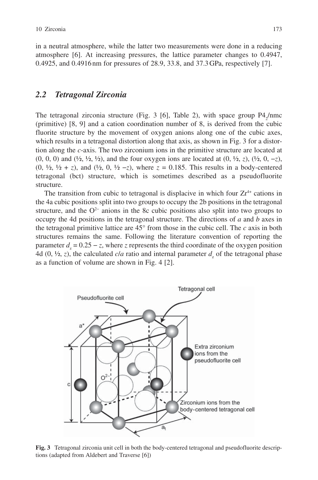in a neutral atmosphere, while the latter two measurements were done in a reducing atmosphere [6]. At increasing pressures, the lattice parameter changes to 0.4947, 0.4925, and 0.4916 nm for pressures of 28.9, 33.8, and 37.3 GPa, respectively [7].

## *2.2 Tetragonal Zirconia*

The tetragonal zirconia structure (Fig. 3 [6], Table 2), with space group  $P4<sub>2</sub>/nmc$ (primitive) [8, 9] and a cation coordination number of 8, is derived from the cubic fluorite structure by the movement of oxygen anions along one of the cubic axes, which results in a tetragonal distortion along that axis, as shown in Fig. 3 for a distortion along the *c*-axis. The two zirconium ions in the primitive structure are located at (0, 0, 0) and (½, ½, ½), and the four oxygen ions are located at (0, ½, *z*), (½, 0, −*z*), (0, ½, ½ + *z*), and (½, 0, ½ −*z*), where *z* = 0.185. This results in a body-centered tetragonal (bct) structure, which is sometimes described as a pseudofluorite structure.

The transition from cubic to tetragonal is displacive in which four  $Zr^{4+}$  cations in the 4a cubic positions split into two groups to occupy the 2b positions in the tetragonal structure, and the  $O<sup>2−</sup>$  anions in the 8c cubic positions also split into two groups to occupy the 4d positions in the tetragonal structure. The directions of *a* and *b* axes in the tetragonal primitive lattice are 45° from those in the cubic cell. The *c* axis in both structures remains the same. Following the literature convention of reporting the parameter  $d_z = 0.25 - z$ , where *z* represents the third coordinate of the oxygen position 4d  $(0, \frac{1}{2}, z)$ , the calculated *cla* ratio and internal parameter  $d_z$  of the tetragonal phase as a function of volume are shown in Fig. 4 [2].



**Fig. 3** Tetragonal zirconia unit cell in both the body-centered tetragonal and pseudofluorite descriptions (adapted from Aldebert and Traverse [6])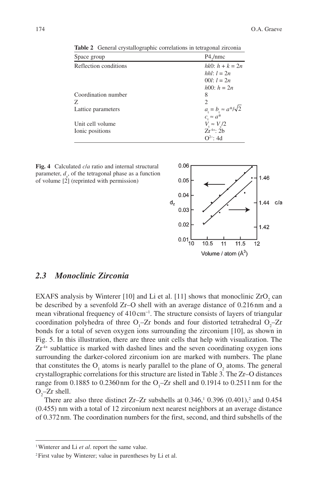| Space group           | P4/mmc                                 |  |  |
|-----------------------|----------------------------------------|--|--|
| Reflection conditions | $hk0: h + k = 2n$                      |  |  |
|                       | hhl: $l = 2n$                          |  |  |
|                       | 00 <i>l</i> : $l = 2n$                 |  |  |
|                       | $h(0)$ : $h = 2n$                      |  |  |
| Coordination number   | 8                                      |  |  |
| Z.                    | $\mathcal{D}_{\mathcal{L}}$            |  |  |
| Lattice parameters    | $a_{t} = b_{t} \approx a^{*}/\sqrt{2}$ |  |  |
|                       | $c_{\cdot} \approx a^*$                |  |  |
| Unit cell volume      | $V_{\rm g} \approx V_{\rm g}/2$        |  |  |
| Ionic positions       | $Zr^{4+}$ : 2b                         |  |  |
|                       | $Q^{2-1}$ : 4d                         |  |  |

**Table 2** General crystallographic correlations in tetragonal zirconia





## *2.3 Monoclinic Zirconia*

EXAFS analysis by Winterer [10] and Li et al. [11] shows that monoclinic  $ZrO_2$  can be described by a sevenfold Zr–O shell with an average distance of 0.216 nm and a mean vibrational frequency of 410 cm<sup>-1</sup>. The structure consists of layers of triangular coordination polyhedra of three  $O_1$ -Zr bonds and four distorted tetrahedral  $O_2$ -Zr bonds for a total of seven oxygen ions surrounding the zirconium [10], as shown in Fig. 5. In this illustration, there are three unit cells that help with visualization. The  $Zr<sup>4+</sup>$  sublattice is marked with dashed lines and the seven coordinating oxygen ions surrounding the darker-colored zirconium ion are marked with numbers. The plane that constitutes the  $O_1$  atoms is nearly parallel to the plane of  $O_2$  atoms. The general crystallographic correlations for this structure are listed in Table 3. The Zr–O distances range from 0.1885 to 0.2360 nm for the  $O_1$ -Zr shell and 0.1914 to 0.2511 nm for the  $O_2$ -Zr shell.

There are also three distinct Zr-Zr subshells at  $0.346$ ,<sup>1</sup>  $0.396$   $(0.401)$ ,<sup>2</sup> and  $0.454$ (0.455) nm with a total of 12 zirconium next nearest neighbors at an average distance of 0.372 nm. The coordination numbers for the first, second, and third subshells of the

<sup>1</sup> Winterer and Li *et al*. report the same value.

<sup>2</sup> First value by Winterer; value in parentheses by Li et al.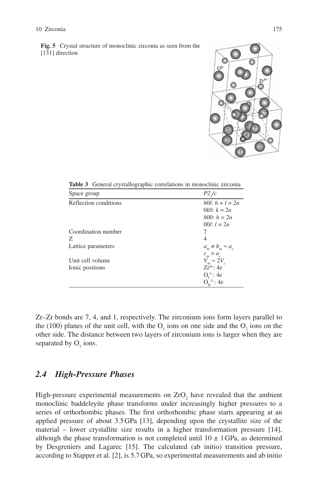**Fig. 5** Crystal structure of monoclinic zirconia as seen from the  $\frac{12.5}{21}$  direction



**Table 3** General crystallographic correlations in monoclinic zirconia

| Space group           | P2/c                                                      |
|-----------------------|-----------------------------------------------------------|
| Reflection conditions | $h0!$ : $h + l = 2n$                                      |
|                       | $0k0$ : $k = 2n$                                          |
|                       | $h(0)$ : $h = 2n$                                         |
|                       | 00 <i>l</i> : $l = 2n$                                    |
| Coordination number   |                                                           |
| Z                     | 4                                                         |
| Lattice parameters    | $a_m \neq b_m \approx a_c$                                |
| Unit cell volume      | $c_{\rm m} > a_{\rm c}$<br>$V_{\rm m} \approx 2V_{\rm c}$ |
| Ionic positions       | $7r^{4+}$ : 4e                                            |
|                       | $O_1^2$ : 4e                                              |
|                       | $O_{\rm H}^2$ : 4e                                        |

Zr–Zr bonds are 7, 4, and 1, respectively. The zirconium ions form layers parallel to the (100) planes of the unit cell, with the  $O_1$  ions on one side and the  $O_2$  ions on the other side. The distance between two layers of zirconium ions is larger when they are separated by  $O_1$  ions.

## *2.4 High-Pressure Phases*

High-pressure experimental measurements on  $ZrO<sub>2</sub>$  have revealed that the ambient monoclinic baddeleyite phase transforms under increasingly higher pressures to a series of orthorhombic phases. The first orthorhombic phase starts appearing at an applied pressure of about 3.5 GPa [13], depending upon the crystallite size of the material – lower crystallite size results in a higher transformation pressure [14], although the phase transformation is not completed until  $10 \pm 1$  GPa, as determined by Desgreniers and Lagarec [15]. The calculated (ab initio) transition pressure, according to Stapper et al. [2], is 5.7 GPa, so experimental measurements and ab initio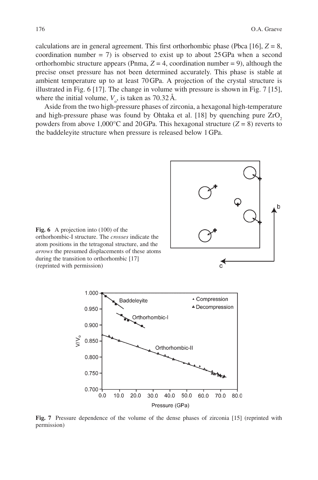calculations are in general agreement. This first orthorhombic phase (Pbca [16],  $Z = 8$ , coordination number = 7) is observed to exist up to about  $25$  GPa when a second orthorhombic structure appears (Pnma,  $Z = 4$ , coordination number = 9), although the precise onset pressure has not been determined accurately. This phase is stable at ambient temperature up to at least 70 GPa. A projection of the crystal structure is illustrated in Fig. 6 [17]. The change in volume with pressure is shown in Fig. 7 [15], where the initial volume,  $V<sub>o</sub>$ , is taken as 70.32 Å.

Aside from the two high-pressure phases of zirconia, a hexagonal high-temperature and high-pressure phase was found by Ohtaka et al.  $[18]$  by quenching pure  $ZrO<sub>2</sub>$ powders from above 1,000 $^{\circ}$ C and 20 GPa. This hexagonal structure ( $Z = 8$ ) reverts to the baddeleyite structure when pressure is released below 1 GPa.



**Fig. 7** Pressure dependence of the volume of the dense phases of zirconia [15] (reprinted with permission)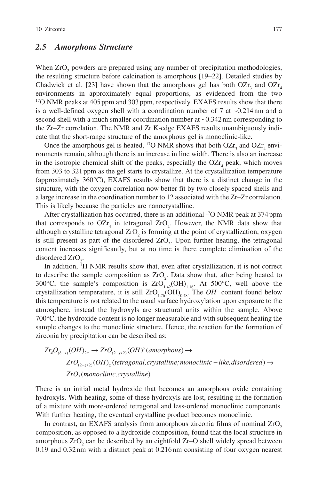## *2.5 Amorphous Structure*

When  $ZrO<sub>2</sub>$  powders are prepared using any number of precipitation methodologies, the resulting structure before calcination is amorphous [19–22]. Detailed studies by Chadwick et al. [23] have shown that the amorphous gel has both  $OZr<sub>3</sub>$  and  $OZr<sub>4</sub>$ environments in approximately equal proportions, as evidenced from the two <sup>17</sup>O NMR peaks at 405 ppm and 303 ppm, respectively. EXAFS results show that there is a well-defined oxygen shell with a coordination number of 7 at  $\sim 0.214 \text{ nm}$  and a second shell with a much smaller coordination number at  $\sim 0.342$  nm corresponding to the Zr–Zr correlation. The NMR and Zr K-edge EXAFS results unambiguously indicate that the short-range structure of the amorphous gel is monoclinic-like.

Once the amorphous gel is heated, <sup>17</sup>O NMR shows that both  $OZr_3$  and  $OZr_4$  environments remain, although there is an increase in line width. There is also an increase in the isotropic chemical shift of the peaks, especially the  $OZr<sub>4</sub>$  peak, which moves from 303 to 321 ppm as the gel starts to crystallize. At the crystallization temperature (approximately 360°C), EXAFS results show that there is a distinct change in the structure, with the oxygen correlation now better fit by two closely spaced shells and a large increase in the coordination number to 12 associated with the Zr–Zr correlation. This is likely because the particles are nanocrystalline.

After crystallization has occurred, there is an additional 17O NMR peak at 374 ppm that corresponds to  $OZr_4$  in tetragonal  $ZrO_2$ . However, the NMR data show that although crystalline tetragonal  $ZrO<sub>2</sub>$  is forming at the point of crystallization, oxygen is still present as part of the disordered  $ZrO<sub>2</sub>$ . Upon further heating, the tetragonal content increases significantly, but at no time is there complete elimination of the disordered  $ZrO_2$ .

In addition, 1 H NMR results show that, even after crystallization, it is not correct to describe the sample composition as  $ZrO_2$ . Data show that, after being heated to 300°C, the sample's composition is  $ZrO<sub>1.42</sub>(OH)<sub>1.16</sub>$ . At 500°C, well above the crystallization temperature, it is still  $ZrO_{1.76}(OH)_{0.48}$ . The  $OH^-$  content found below this temperature is not related to the usual surface hydroxylation upon exposure to the atmosphere, instead the hydroxyls are structural units within the sample. Above 700°C, the hydroxide content is no longer measurable and with subsequent heating the sample changes to the monoclinic structure. Hence, the reaction for the formation of zirconia by precipitation can be described as:

$$
Zr_4O_{(8-x)}(OH)_{2x} \to ZrO_{(2-y/2)}(OH)^y(amorphous) \to
$$
  
\n
$$
ZrO_{(2-z/2)}(OH)_z(tetragonal, crystalline;monoclinic-like, disordered) \to
$$
  
\n
$$
ZrO_{y}(monoclinic, crystalline)
$$

There is an initial metal hydroxide that becomes an amorphous oxide containing hydroxyls. With heating, some of these hydroxyls are lost, resulting in the formation of a mixture with more-ordered tetragonal and less-ordered monoclinic components. With further heating, the eventual crystalline product becomes monoclinic.

In contrast, an EXAFS analysis from amorphous zirconia films of nominal  $ZrO<sub>2</sub>$ composition, as opposed to a hydroxide composition, found that the local structure in amorphous  $ZrO_2$  can be described by an eightfold  $Zr-O$  shell widely spread between 0.19 and 0.32 nm with a distinct peak at 0.216 nm consisting of four oxygen nearest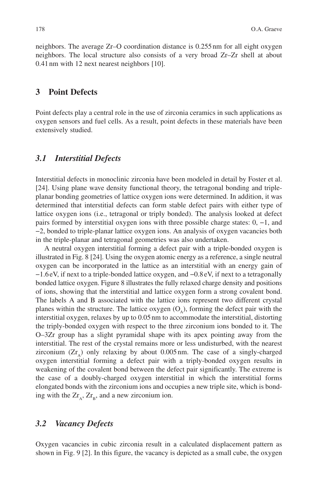neighbors. The average Zr–O coordination distance is 0.255 nm for all eight oxygen neighbors. The local structure also consists of a very broad Zr–Zr shell at about 0.41 nm with 12 next nearest neighbors [10].

## **3 Point Defects**

Point defects play a central role in the use of zirconia ceramics in such applications as oxygen sensors and fuel cells. As a result, point defects in these materials have been extensively studied.

### *3.1 Interstitial Defects*

Interstitial defects in monoclinic zirconia have been modeled in detail by Foster et al. [24]. Using plane wave density functional theory, the tetragonal bonding and tripleplanar bonding geometries of lattice oxygen ions were determined. In addition, it was determined that interstitial defects can form stable defect pairs with either type of lattice oxygen ions (i.e., tetragonal or triply bonded). The analysis looked at defect pairs formed by interstitial oxygen ions with three possible charge states: 0, −1, and −2, bonded to triple-planar lattice oxygen ions. An analysis of oxygen vacancies both in the triple-planar and tetragonal geometries was also undertaken.

A neutral oxygen interstitial forming a defect pair with a triple-bonded oxygen is illustrated in Fig. 8 [24]. Using the oxygen atomic energy as a reference, a single neutral oxygen can be incorporated in the lattice as an interstitial with an energy gain of −1.6 eV, if next to a triple-bonded lattice oxygen, and −0.8 eV, if next to a tetragonally bonded lattice oxygen. Figure 8 illustrates the fully relaxed charge density and positions of ions, showing that the interstitial and lattice oxygen form a strong covalent bond. The labels A and B associated with the lattice ions represent two different crystal planes within the structure. The lattice oxygen  $(O_0)$ , forming the defect pair with the interstitial oxygen, relaxes by up to 0.05 nm to accommodate the interstitial, distorting the triply-bonded oxygen with respect to the three zirconium ions bonded to it. The O–3Zr group has a slight pyramidal shape with its apex pointing away from the interstitial. The rest of the crystal remains more or less undisturbed, with the nearest zirconium  $(Zr_{\lambda})$  only relaxing by about 0.005 nm. The case of a singly-charged oxygen interstitial forming a defect pair with a triply-bonded oxygen results in weakening of the covalent bond between the defect pair significantly. The extreme is the case of a doubly-charged oxygen interstitial in which the interstitial forms elongated bonds with the zirconium ions and occupies a new triple site, which is bonding with the  $Zr_A$ ,  $Zr_B$ , and a new zirconium ion.

#### *3.2 Vacancy Defects*

Oxygen vacancies in cubic zirconia result in a calculated displacement pattern as shown in Fig. 9 [2]. In this figure, the vacancy is depicted as a small cube, the oxygen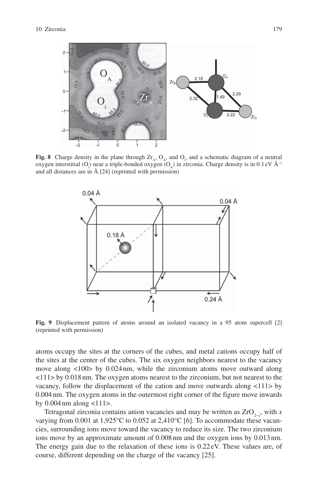

**Fig. 8** Charge density in the plane through  $Zr_A$ ,  $Q_A$ , and  $Q_i$ , and a schematic diagram of a neutral oxygen interstitial (O<sub>i</sub>) near a triple-bonded oxygen (O<sub>A</sub>) in zirconia. Charge density is in 0.1 eV Å<sup>-1</sup> and all distances are in Å [24] (reprinted with permission)



**Fig. 9** Displacement pattern of atoms around an isolated vacancy in a 95 atom supercell [2] (reprinted with permission)

atoms occupy the sites at the corners of the cubes, and metal cations occupy half of the sites at the center of the cubes. The six oxygen neighbors nearest to the vacancy move along <100> by 0.024 nm, while the zirconium atoms move outward along <111> by 0.018 nm. The oxygen atoms nearest to the zirconium, but not nearest to the vacancy, follow the displacement of the cation and move outwards along <111> by 0.004 nm. The oxygen atoms in the outermost right corner of the figure move inwards by  $0.004$  nm along  $\lt 111$ .

Tetragonal zirconia contains anion vacancies and may be written as ZrO<sub>2-*x*</sub></sub>, with *x* varying from 0.001 at 1,925°C to 0.052 at 2,410°C [6]. To accommodate these vacancies, surrounding ions move toward the vacancy to reduce its size. The two zirconium ions move by an approximate amount of 0.008 nm and the oxygen ions by 0.013 nm. The energy gain due to the relaxation of these ions is 0.22 eV. These values are, of course, different depending on the charge of the vacancy [25].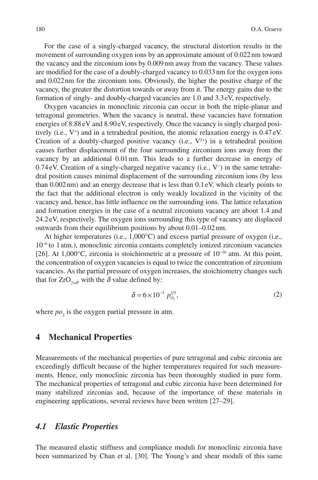For the case of a singly-charged vacancy, the structural distortion results in the movement of surrounding oxygen ions by an approximate amount of 0.022 nm toward the vacancy and the zirconium ions by 0.009 nm away from the vacancy. These values are modified for the case of a doubly-charged vacancy to 0.033 nm for the oxygen ions and 0.022 nm for the zirconium ions. Obviously, the higher the positive charge of the vacancy, the greater the distortion towards or away from it. The energy gains due to the formation of singly- and doubly-charged vacancies are 1.0 and 3.3 eV, respectively.

Oxygen vacancies in monoclinic zirconia can occur in both the triple-planar and tetragonal geometries. When the vacancy is neutral, these vacancies have formation energies of 8.88 eV and 8.90 eV, respectively. Once the vacancy is singly charged positively (i.e., V+ ) and in a tetrahedral position, the atomic relaxation energy is 0.47 eV. Creation of a doubly-charged positive vacancy (i.e.,  $V^{2+}$ ) in a tetrahedral position causes further displacement of the four surrounding zirconium ions away from the vacancy by an additional 0.01 nm. This leads to a further decrease in energy of 0.74 eV. Creation of a singly-charged negative vacancy (i.e., V− ) in the same tetrahedral position causes minimal displacement of the surrounding zirconium ions (by less than 0.002 nm) and an energy decrease that is less than 0.1 eV, which clearly points to the fact that the additional electron is only weakly localized in the vicinity of the vacancy and, hence, has little influence on the surrounding ions. The lattice relaxation and formation energies in the case of a neutral zirconium vacancy are about 1.4 and 24.2 eV, respectively. The oxygen ions surrounding this type of vacancy are displaced outwards from their equilibrium positions by about 0.01–0.02 nm.

At higher temperatures (i.e., 1,000°C) and excess partial pressure of oxygen (i.e., 10−6 to 1 atm.), monoclinic zirconia contains completely ionized zirconium vacancies [26]. At 1,000°C, zirconia is stoichiometric at a pressure of 10−16 atm. At this point, the concentration of oxygen vacancies is equal to twice the concentration of zirconium vacancies. As the partial pressure of oxygen increases, the stoichiometry changes such that for  $ZrO_{2+\delta}$ , with the  $\delta$  value defined by:

$$
\delta = 6 \times 10^{-3} \ p_{O_2}^{1/5},\tag{2}
$$

where  $po_2$  is the oxygen partial pressure in atm.

#### **4 Mechanical Properties**

Measurements of the mechanical properties of pure tetragonal and cubic zirconia are exceedingly difficult because of the higher temperatures required for such measurements. Hence, only monoclinic zirconia has been thoroughly studied in pure form. The mechanical properties of tetragonal and cubic zirconia have been determined for many stabilized zirconias and, because of the importance of these materials in engineering applications, several reviews have been written [27–29].

### *4.1 Elastic Properties*

The measured elastic stiffness and compliance moduli for monoclinic zirconia have been summarized by Chan et al. [30]. The Young's and shear moduli of this same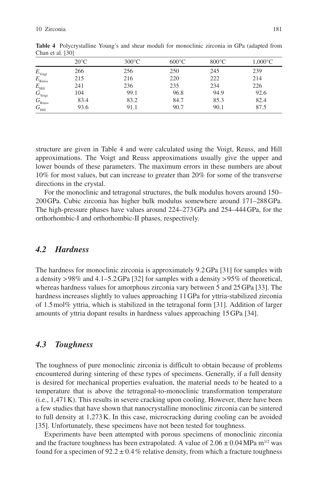|                                                     | $20^{\circ}$ C | $300^{\circ}$ C | $600^{\circ}$ C | $800^{\circ}$ C | $1,000^{\circ}$ C |
|-----------------------------------------------------|----------------|-----------------|-----------------|-----------------|-------------------|
|                                                     | 266            | 256             | 250             | 245             | 239               |
| $E_{_{\rm Voigt}} \nonumber\\ E_{_{\rm Reuss}}$     | 215            | 216             | 220             | 222             | 214               |
| $E_{\rm Hill}$                                      | 241            | 236             | 235             | 234             | 226               |
|                                                     | 104            | 99.1            | 96.8            | 94.9            | 92.6              |
| $G_{\mbox{\tiny{Voigt}}} \ G_{\mbox{\tiny{Reuss}}}$ | 83.4           | 83.2            | 84.7            | 85.3            | 82.4              |
| $G_{\rm Hill}$                                      | 93.6           | 91.1            | 90.7            | 90.1            | 87.5              |

**Table 4** Polycrystalline Young's and shear moduli for monoclinic zirconia in GPa (adapted from Chan et al. [30]

structure are given in Table 4 and were calculated using the Voigt, Reuss, and Hill approximations. The Voigt and Reuss approximations usually give the upper and lower bounds of these parameters. The maximum errors in these numbers are about 10% for most values, but can increase to greater than 20% for some of the transverse directions in the crystal.

For the monoclinic and tetragonal structures, the bulk modulus hovers around 150– 200 GPa. Cubic zirconia has higher bulk modulus somewhere around 171–288 GPa. The high-pressure phases have values around 224–273 GPa and 254–444 GPa, for the orthorhombic-I and orthorhombic-II phases, respectively.

## *4.2 Hardness*

The hardness for monoclinic zirconia is approximately 9.2 GPa [31] for samples with a density > 98% and 4.1–5.2 GPa [32] for samples with a density > 95% of theoretical, whereas hardness values for amorphous zirconia vary between 5 and 25 GPa [33]. The hardness increases slightly to values approaching 11 GPa for yttria-stabilized zirconia of 1.5 mol% yttria, which is stabilized in the tetragonal form [31]. Addition of larger amounts of yttria dopant results in hardness values approaching 15 GPa [34].

#### *4.3 Toughness*

The toughness of pure monoclinic zirconia is difficult to obtain because of problems encountered during sintering of these types of specimens. Generally, if a full density is desired for mechanical properties evaluation, the material needs to be heated to a temperature that is above the tetragonal-to-monoclinic transformation temperature (i.e., 1,471 K). This results in severe cracking upon cooling. However, there have been a few studies that have shown that nanocrystalline monoclinic zirconia can be sintered to full density at 1,273 K. In this case, microcracking during cooling can be avoided [35]. Unfortunately, these specimens have not been tested for toughness.

Experiments have been attempted with porous specimens of monoclinic zirconia and the fracture toughness has been extrapolated. A value of  $2.06 \pm 0.04$  MPa m<sup>1/2</sup> was found for a specimen of  $92.2 \pm 0.4\%$  relative density, from which a fracture toughness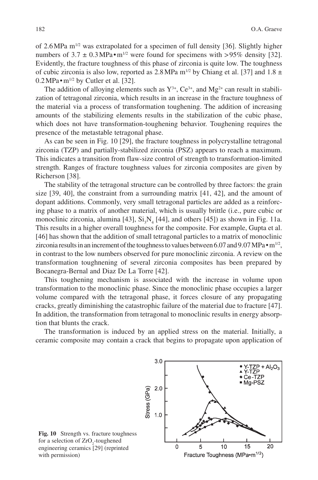of 2.6 MPa  $m^{1/2}$  was extrapolated for a specimen of full density [36]. Slightly higher numbers of  $3.7 \pm 0.3$  MPa $\cdot$ m<sup>1/2</sup> were found for specimens with > 95% density [32]. Evidently, the fracture toughness of this phase of zirconia is quite low. The toughness of cubic zirconia is also low, reported as 2.8 MPa  $m^{1/2}$  by Chiang et al. [37] and 1.8  $\pm$  $0.2 MPa \cdot m^{1/2}$  by Cutler et al. [32].

The addition of alloying elements such as  $Y^{3+}$ ,  $Ce^{3+}$ , and  $Mg^{2+}$  can result in stabilization of tetragonal zirconia, which results in an increase in the fracture toughness of the material via a process of transformation toughening. The addition of increasing amounts of the stabilizing elements results in the stabilization of the cubic phase, which does not have transformation-toughening behavior. Toughening requires the presence of the metastable tetragonal phase.

As can be seen in Fig. 10 [29], the fracture toughness in polycrystalline tetragonal zirconia (TZP) and partially-stabilized zirconia (PSZ) appears to reach a maximum. This indicates a transition from flaw-size control of strength to transformation-limited strength. Ranges of fracture toughness values for zirconia composites are given by Richerson [38].

The stability of the tetragonal structure can be controlled by three factors: the grain size [39, 40], the constraint from a surrounding matrix [41, 42], and the amount of dopant additions. Commonly, very small tetragonal particles are added as a reinforcing phase to a matrix of another material, which is usually brittle (i.e., pure cubic or monoclinic zirconia, alumina [43],  $Si<sub>3</sub>N<sub>4</sub>$  [44], and others [45]) as shown in Fig. 11a. This results in a higher overall toughness for the composite. For example, Gupta et al. [46] has shown that the addition of small tetragonal particles to a matrix of monoclinic zirconia results in an increment of the toughness to values between 6.07 and 9.07 MPa $\cdot$ m<sup>1/2</sup>, in contrast to the low numbers observed for pure monoclinic zirconia. A review on the transformation toughnening of several zirconia composites has been prepared by Bocanegra-Bernal and Diaz De La Torre [42].

This toughening mechanism is associated with the increase in volume upon transformation to the monoclinic phase. Since the monoclinic phase occupies a larger volume compared with the tetragonal phase, it forces closure of any propagating cracks, greatly diminishing the catastrophic failure of the material due to fracture [47]. In addition, the transformation from tetragonal to monoclinic results in energy absorption that blunts the crack.

The transformation is induced by an applied stress on the material. Initially, a ceramic composite may contain a crack that begins to propagate upon application of

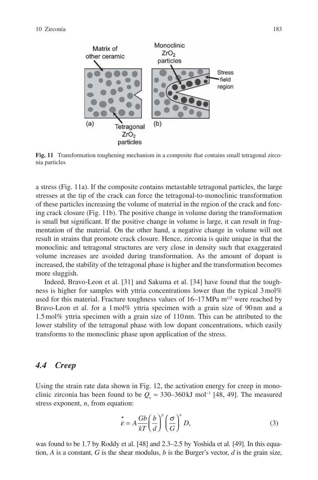

**Fig. 11** Transformation toughening mechanism in a composite that contains small tetragonal zirconia particles

a stress (Fig. 11a). If the composite contains metastable tetragonal particles, the large stresses at the tip of the crack can force the tetragonal-to-monoclinic transformation of these particles increasing the volume of material in the region of the crack and forcing crack closure (Fig. 11b). The positive change in volume during the transformation is small but significant. If the positive change in volume is large, it can result in fragmentation of the material. On the other hand, a negative change in volume will not result in strains that promote crack closure. Hence, zirconia is quite unique in that the monoclinic and tetragonal structures are very close in density such that exaggerated volume increases are avoided during transformation. As the amount of dopant is increased, the stability of the tetragonal phase is higher and the transformation becomes more sluggish.

Indeed, Bravo-Leon et al. [31] and Sakuma et al. [34] have found that the toughness is higher for samples with yttria concentrations lower than the typical 3 mol% used for this material. Fracture toughness values of  $16-17$  MPa m<sup>1/2</sup> were reached by Bravo-Leon et al. for a 1 mol% yttria specimen with a grain size of 90 nm and a 1.5 mol% yttria specimen with a grain size of 110 nm. This can be attributed to the lower stability of the tetragonal phase with low dopant concentrations, which easily transforms to the monoclinic phase upon application of the stress.

#### *4.4 Creep*

Using the strain rate data shown in Fig. 12, the activation energy for creep in monoclinic zirconia has been found to be  $Q_c \approx 330-360 \text{ kJ}$  mol<sup>-1</sup> [48, 49]. The measured stress exponent, *n*, from equation:

$$
\dot{\varepsilon} = A \frac{Gb}{kT} \left(\frac{b}{d}\right)^p \left(\frac{\sigma}{G}\right)^n D,
$$
\n(3)

was found to be 1.7 by Roddy et al. [48] and 2.3–2.5 by Yoshida et al. [49]. In this equation, *A* is a constant, *G* is the shear modulus, *b* is the Burger's vector, *d* is the grain size,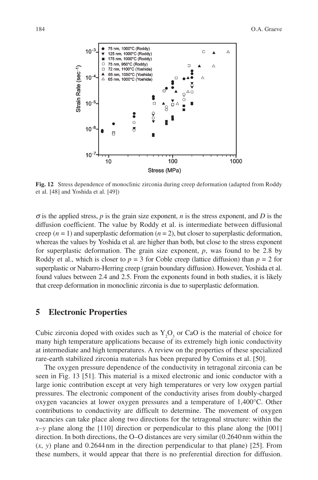

**Fig. 12** Stress dependence of monoclinic zirconia during creep deformation (adapted from Roddy et al. [48] and Yoshida et al. [49])

 $\sigma$  is the applied stress, *p* is the grain size exponent, *n* is the stress exponent, and *D* is the diffusion coefficient. The value by Roddy et al. is intermediate between diffusional creep  $(n = 1)$  and superplastic deformation  $(n = 2)$ , but closer to superplastic deformation, whereas the values by Yoshida et al. are higher than both, but close to the stress exponent for superplastic deformation. The grain size exponent, *p*, was found to be 2.8 by Roddy et al., which is closer to  $p = 3$  for Coble creep (lattice diffusion) than  $p = 2$  for superplastic or Nabarro-Herring creep (grain boundary diffusion). However, Yoshida et al. found values between 2.4 and 2.5. From the exponents found in both studies, it is likely that creep deformation in monoclinic zirconia is due to superplastic deformation.

#### **5 Electronic Properties**

Cubic zirconia doped with oxides such as  $Y_2O_3$  or CaO is the material of choice for many high temperature applications because of its extremely high ionic conductivity at intermediate and high temperatures. A review on the properties of these specialized rare-earth stabilized zirconia materials has been prepared by Comins et al. [50].

The oxygen pressure dependence of the conductivity in tetragonal zirconia can be seen in Fig. 13 [51]. This material is a mixed electronic and ionic conductor with a large ionic contribution except at very high temperatures or very low oxygen partial pressures. The electronic component of the conductivity arises from doubly-charged oxygen vacancies at lower oxygen pressures and a temperature of 1,400°C. Other contributions to conductivity are difficult to determine. The movement of oxygen vacancies can take place along two directions for the tetragonal structure: within the  $x-y$  plane along the [110] direction or perpendicular to this plane along the [001] direction. In both directions, the O–O distances are very similar (0.2640 nm within the  $(x, y)$  plane and 0.2644 nm in the direction perpendicular to that plane) [25]. From these numbers, it would appear that there is no preferential direction for diffusion.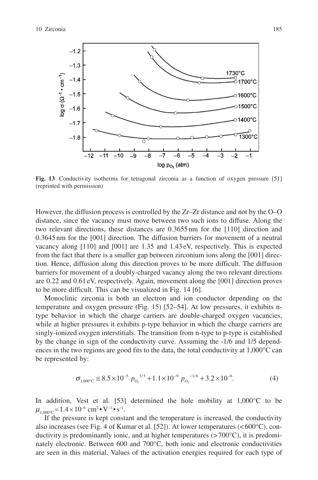

**Fig. 13** Conductivity isotherms for tetragonal zirconia as a function of oxygen pressure [51] (reprinted with permission)

However, the diffusion process is controlled by the Zr–Zr distance and not by the O–O distance, since the vacancy must move between two such ions to diffuse. Along the two relevant directions, these distances are 0.3655 nm for the [110] direction and 0.3645 nm for the [001] direction. The diffusion barriers for movement of a neutral vacancy along [110] and [001] are 1.35 and 1.43 eV, respectively. This is expected from the fact that there is a smaller gap between zirconium ions along the [001] direction. Hence, diffusion along this direction proves to be more difficult. The diffusion barriers for movement of a doubly-charged vacancy along the two relevant directions are 0.22 and 0.61 eV, respectively. Again, movement along the [001] direction proves to be more difficult. This can be visualized in Fig. 14 [6].

Monoclinic zirconia is both an electron and ion conductor depending on the temperature and oxygen pressure (Fig. 15) [52–54]. At low pressures, it exhibits ntype behavior in which the charge carriers are double-charged oxygen vacancies, while at higher pressures it exhibits p-type behavior in which the charge carriers are singly-ionized oxygen interstitials. The transition from n-type to p-type is established by the change in sign of the conductivity curve. Assuming the -1/6 and 1/5 dependences in the two regions are good fits to the data, the total conductivity at  $1,000^{\circ}$ C can be represented by:

$$
\sigma_{1,000^{\circ}\text{C}} \cong 8.5 \times 10^{-5} p_{O_2}^{1/5} + 1.1 \times 10^{-9} p_{O_2}^{1/6} + 3.2 \times 10^{-6}.
$$
 (4)

In addition, Vest et al. [53] determined the hole mobility at  $1,000^{\circ}$ C to be  $\mu_{1,000^{\circ}C} = 1.4 \times 10^{-6}$  cm<sup>2</sup> • V<sup>-1</sup> • s<sup>-1</sup>.

If the pressure is kept constant and the temperature is increased, the conductivity also increases (see Fig. 4 of Kumar et al. [52]). At lower temperatures (< 600°C), conductivity is predominantly ionic, and at higher temperatures  $(>700^{\circ}C)$ , it is predominately electronic. Between 600 and 700°C, both ionic and electronic conductivities are seen in this material. Values of the activation energies required for each type of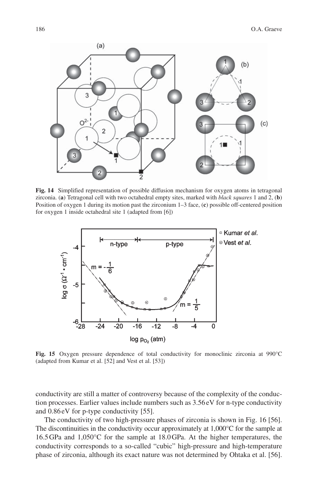

**Fig. 14** Simplified representation of possible diffusion mechanism for oxygen atoms in tetragonal zirconia. (**a**) Tetragonal cell with two octahedral empty sites, marked with *black squares* 1 and 2, (**b**) Position of oxygen 1 during its motion past the zirconium 1–3 face, (**c**) possible off-centered position for oxygen 1 inside octahedral site 1 (adapted from [6])



**Fig. 15** Oxygen pressure dependence of total conductivity for monoclinic zirconia at 990°C (adapted from Kumar et al. [52] and Vest et al. [53])

conductivity are still a matter of controversy because of the complexity of the conduction processes. Earlier values include numbers such as 3.56 eV for n-type conductivity and 0.86 eV for p-type conductivity [55].

The conductivity of two high-pressure phases of zirconia is shown in Fig. 16 [56]. The discontinuities in the conductivity occur approximately at 1,000°C for the sample at 16.5 GPa and 1,050°C for the sample at 18.0 GPa. At the higher temperatures, the conductivity corresponds to a so-called "cubic" high-pressure and high-temperature phase of zirconia, although its exact nature was not determined by Ohtaka et al. [56].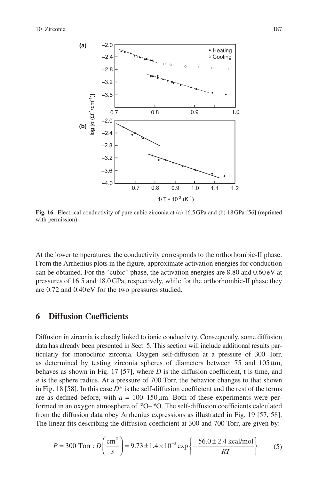

**Fig. 16** Electrical conductivity of pure cubic zirconia at (a) 16.5 GPa and (b) 18 GPa [56] (reprinted with permission)

At the lower temperatures, the conductivity corresponds to the orthorhombic-II phase. From the Arrhenius plots in the figure, approximate activation energies for conduction can be obtained. For the "cubic" phase, the activation energies are 8.80 and 0.60 eV at pressures of 16.5 and 18.0 GPa, respectively, while for the orthorhombic-II phase they are 0.72 and 0.40 eV for the two pressures studied.

## **6 Diffusion Coefficients**

Diffusion in zirconia is closely linked to ionic conductivity. Consequently, some diffusion data has already been presented in Sect. 5. This section will include additional results particularly for monoclinic zirconia. Oxygen self-diffusion at a pressure of 300 Torr, as determined by testing zirconia spheres of diameters between  $75$  and  $105 \mu m$ , behaves as shown in Fig. 17 [57], where *D* is the diffusion coefficient, t is time, and *a* is the sphere radius. At a pressure of 700 Torr, the behavior changes to that shown in Fig. 18 [58]. In this case  $D^*$  is the self-diffusion coefficient and the rest of the terms are as defined before, with  $a = 100-150 \,\mu m$ . Both of these experiments were performed in an oxygen atmosphere of 18O–16O. The self-diffusion coefficients calculated from the diffusion data obey Arrhenius expressions as illustrated in Fig. 19 [57, 58]. The linear fits describing the diffusion coefficient at 300 and 700 Torr, are given by:

$$
P = 300 \text{ Torr}: D\left(\frac{\text{cm}^2}{s}\right) = 9.73 \pm 1.4 \times 10^{-3} \exp\left\{-\frac{56.0 \pm 2.4 \text{ kcal/mol}}{RT}\right\}
$$
(5)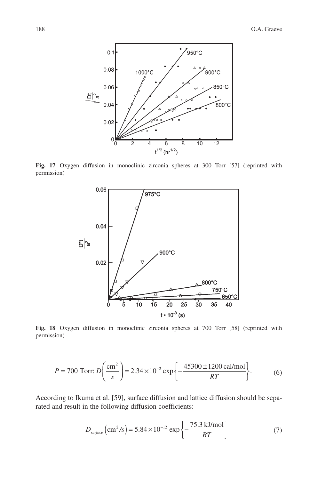

**Fig. 17** Oxygen diffusion in monoclinic zirconia spheres at 300 Torr [57] (reprinted with permission)



**Fig. 18** Oxygen diffusion in monoclinic zirconia spheres at 700 Torr [58] (reprinted with permission)

$$
P = 700 \text{ Torr: } D\left(\frac{\text{cm}^2}{s}\right) = 2.34 \times 10^{-2} \exp\left\{-\frac{45300 \pm 1200 \text{ cal/mol}}{RT}\right\}.
$$
 (6)

According to Ikuma et al. [59], surface diffusion and lattice diffusion should be separated and result in the following diffusion coefficients:

$$
D_{\text{surface}}\left(\text{cm}^2/\text{s}\right) = 5.84 \times 10^{-12} \exp\left\{-\frac{75.3 \text{ kJ/mol}}{RT}\right\} \tag{7}
$$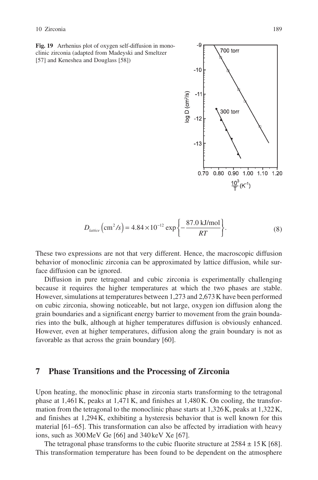**Fig. 19** Arrhenius plot of oxygen self-diffusion in monoclinic zirconia (adapted from Madeyski and Smeltzer [57] and Keneshea and Douglass [58])



$$
D_{lattice}\left(\text{cm}^2/\text{s}\right) = 4.84 \times 10^{-12} \exp\left\{-\frac{87.0 \text{ kJ/mol}}{RT}\right\}.
$$
 (8)

These two expressions are not that very different. Hence, the macroscopic diffusion behavior of monoclinic zirconia can be approximated by lattice diffusion, while surface diffusion can be ignored.

Diffusion in pure tetragonal and cubic zirconia is experimentally challenging because it requires the higher temperatures at which the two phases are stable. However, simulations at temperatures between 1,273 and 2,673 K have been performed on cubic zirconia, showing noticeable, but not large, oxygen ion diffusion along the grain boundaries and a significant energy barrier to movement from the grain boundaries into the bulk, although at higher temperatures diffusion is obviously enhanced. However, even at higher temperatures, diffusion along the grain boundary is not as favorable as that across the grain boundary [60].

#### **7 Phase Transitions and the Processing of Zirconia**

Upon heating, the monoclinic phase in zirconia starts transforming to the tetragonal phase at 1,461 K, peaks at 1,471 K, and finishes at 1,480 K. On cooling, the transformation from the tetragonal to the monoclinic phase starts at 1,326 K, peaks at 1,322 K, and finishes at 1,294 K, exhibiting a hysteresis behavior that is well known for this material [61–65]. This transformation can also be affected by irradiation with heavy ions, such as 300 MeV Ge [66] and 340 keV Xe [67].

The tetragonal phase transforms to the cubic fluorite structure at  $2584 \pm 15$  K [68]. This transformation temperature has been found to be dependent on the atmosphere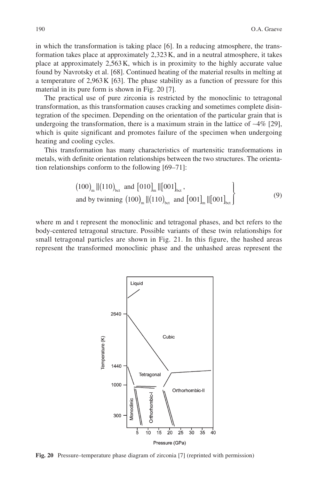in which the transformation is taking place [6]. In a reducing atmosphere, the transformation takes place at approximately 2,323 K, and in a neutral atmosphere, it takes place at approximately 2,563 K, which is in proximity to the highly accurate value found by Navrotsky et al. [68]. Continued heating of the material results in melting at a temperature of 2,963 K [63]. The phase stability as a function of pressure for this material in its pure form is shown in Fig. 20 [7].

The practical use of pure zirconia is restricted by the monoclinic to tetragonal transformation, as this transformation causes cracking and sometimes complete disintegration of the specimen. Depending on the orientation of the particular grain that is undergoing the transformation, there is a maximum strain in the lattice of ∼4% [29], which is quite significant and promotes failure of the specimen when undergoing heating and cooling cycles.

This transformation has many characteristics of martensitic transformations in metals, with definite orientation relationships between the two structures. The orientation relationships conform to the following [69–71]:

$$
(100)m ||(110)bot and [010]m ||[001]bot,and by twinning (100)m ||(110)bot and [001]m ||[001]bot (9)
$$

where m and t represent the monoclinic and tetragonal phases, and bct refers to the body-centered tetragonal structure. Possible variants of these twin relationships for small tetragonal particles are shown in Fig. 21. In this figure, the hashed areas represent the transformed monoclinic phase and the unhashed areas represent the



**Fig. 20** Pressure–temperature phase diagram of zirconia [7] (reprinted with permission)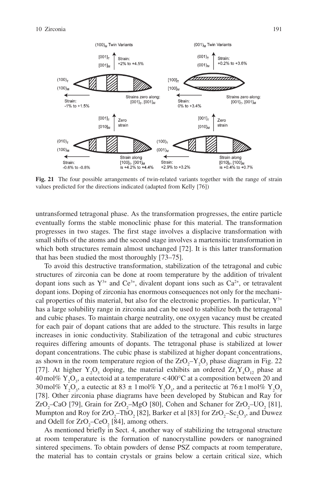

**Fig. 21** The four possible arrangements of twin-related variants together with the range of strain values predicted for the directions indicated (adapted from Kelly [76])

untransformed tetragonal phase. As the transformation progresses, the entire particle eventually forms the stable monoclinic phase for this material. The transformation progresses in two stages. The first stage involves a displacive transformation with small shifts of the atoms and the second stage involves a martensitic transformation in which both structures remain almost unchanged [72]. It is this latter transformation that has been studied the most thoroughly [73–75].

To avoid this destructive transformation, stabilization of the tetragonal and cubic structures of zirconia can be done at room temperature by the addition of trivalent dopant ions such as  $Y^{3+}$  and  $Ce^{3+}$ , divalent dopant ions such as  $Ca^{2+}$ , or tetravalent dopant ions. Doping of zirconia has enormous consequences not only for the mechanical properties of this material, but also for the electronic properties. In particular,  $Y^{3+}$ has a large solubility range in zirconia and can be used to stabilize both the tetragonal and cubic phases. To maintain charge neutrality, one oxygen vacancy must be created for each pair of dopant cations that are added to the structure. This results in large increases in ionic conductivity. Stabilization of the tetragonal and cubic structures requires differing amounts of dopants. The tetragonal phase is stabilized at lower dopant concentrations. The cubic phase is stabilized at higher dopant concentrations, as shown in the room temperature region of the  $ZrO<sub>2</sub>-Y<sub>2</sub>O<sub>3</sub>$  phase diagram in Fig. 22 [77]. At higher  $Y_2O_3$  doping, the material exhibits an ordered  $Zr_3Y_4O_{12}$  phase at 40 mol%  $Y_2O_3$ , a eutectoid at a temperature <400 °C at a composition between 20 and 30 mol%  $Y_2O_3$ , a eutectic at 83  $\pm$  1 mol%  $Y_2O_3$ , and a peritectic at 76 $\pm$ 1 mol%  $Y_2O_3$ [78]. Other zirconia phase diagrams have been developed by Stubican and Ray for  $ZrO_2$ –CaO [79], Grain for  $ZrO_2$ –MgO [80], Cohen and Schaner for  $ZrO_2$ –UO<sub>2</sub> [81], Mumpton and Roy for  $\rm ZrO_{2}-ThO_{2}$  [82], Barker et al [83] for  $\rm ZrO_{2}-Sc_{2}O_{3},$  and Duwez and Odell for  $ZrO_2$ –CeO<sub>2</sub> [84], among others.

As mentioned briefly in Sect. 4, another way of stabilizing the tetragonal structure at room temperature is the formation of nanocrystalline powders or nanograined sintered specimens. To obtain powders of dense PSZ compacts at room temperature, the material has to contain crystals or grains below a certain critical size, which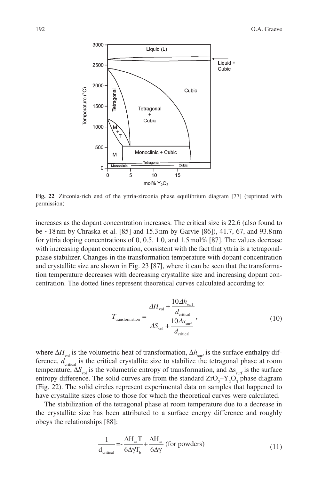

**Fig. 22** Zirconia-rich end of the yttria-zirconia phase equilibrium diagram [77] (reprinted with permission)

increases as the dopant concentration increases. The critical size is 22.6 (also found to be ∼18 nm by Chraska et al. [85] and 15.3 nm by Garvie [86]), 41.7, 67, and 93.8 nm for yttria doping concentrations of 0, 0.5, 1.0, and 1.5 mol% [87]. The values decrease with increasing dopant concentration, consistent with the fact that yttria is a tetragonalphase stabilizer. Changes in the transformation temperature with dopant concentration and crystallite size are shown in Fig. 23 [87], where it can be seen that the transformation temperature decreases with decreasing crystallite size and increasing dopant concentration. The dotted lines represent theoretical curves calculated according to:

$$
T_{\text{transformation}} = \frac{\Delta H_{\text{vol}} + \frac{10\Delta h_{\text{surf}}}{d_{\text{critical}}}}{\Delta S_{\text{vol}} + \frac{10\Delta s_{\text{surf}}}{d_{\text{critical}}}},
$$
(10)

where  $\Delta H$ <sub>vol</sub> is the volumetric heat of transformation,  $\Delta h$ <sub>surf</sub> is the surface enthalpy difference,  $d_{\text{critical}}$  is the critical crystallite size to stabilize the tetragonal phase at room temperature,  $\Delta S$ <sub>vol</sub> is the volumetric entropy of transformation, and  $\Delta S$ <sub>surf</sub> is the surface entropy difference. The solid curves are from the standard  $ZrO<sub>2</sub>-Y<sub>2</sub>O<sub>3</sub>$  phase diagram (Fig. 22). The solid circles represent experimental data on samples that happened to have crystallite sizes close to those for which the theoretical curves were calculated.

The stabilization of the tetragonal phase at room temperature due to a decrease in the crystallite size has been attributed to a surface energy difference and roughly obeys the relationships [88]:

$$
\frac{1}{d_{\text{critical}}} = -\frac{\Delta H_{\infty} T}{6\Delta \gamma T_b} + \frac{\Delta H_{\infty}}{6\Delta \gamma} \text{ (for powders)}
$$
\n(11)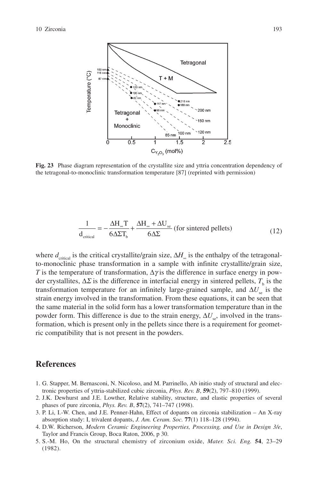

**Fig. 23** Phase diagram representation of the crystallite size and yttria concentration dependency of the tetragonal-to-monoclinic transformation temperature [87] (reprinted with permission)

$$
\frac{1}{d_{\text{critical}}} = -\frac{\Delta H_{\infty} T}{6\Delta \Sigma T_{b}} + \frac{\Delta H_{\infty} + \Delta U_{\text{se}}}{6\Delta \Sigma} \text{ (for sintered pellets)}
$$
(12)

where  $d_{\text{critical}}$  is the critical crystallite/grain size,  $\Delta H_{\infty}$  is the enthalpy of the tetragonalto-monoclinic phase transformation in a sample with infinite crystallite/grain size, *T* is the temperature of transformation,  $\Delta \gamma$  is the difference in surface energy in powder crystallites,  $\Delta \Sigma$  is the difference in interfacial energy in sintered pellets,  $T_{\text{b}}$  is the transformation temperature for an infinitely large-grained sample, and  $\Delta U_{\text{S}}$  is the strain energy involved in the transformation. From these equations, it can be seen that the same material in the solid form has a lower transformation temperature than in the powder form. This difference is due to the strain energy,  $\Delta U_s$ , involved in the transformation, which is present only in the pellets since there is a requirement for geometric compatibility that is not present in the powders.

#### **References**

- 1. G. Stapper, M. Bernasconi, N. Nicoloso, and M. Parrinello, Ab initio study of structural and electronic properties of yttria-stabilized cubic zirconia, *Phys. Rev. B*, **59**(2), 797–810 (1999).
- 2. J.K. Dewhurst and J.E. Lowther, Relative stability, structure, and elastic properties of several phases of pure zirconia, *Phys. Rev. B*, **57**(2), 741–747 (1998).
- 3. P. Li, I.-W. Chen, and J.E. Penner-Hahn, Effect of dopants on zirconia stabilization An X-ray absorption study: I, trivalent dopants, *J. Am. Ceram. Soc.* **77**(1) 118–128 (1994).
- 4. D.W. Richerson, *Modern Ceramic Engineering Properties, Processing, and Use in Design 3/e*, Taylor and Francis Group, Boca Raton, 2006, p 30.
- 5. S.-M. Ho, On the structural chemistry of zirconium oxide, *Mater. Sci. Eng.* **54**, 23–29 (1982).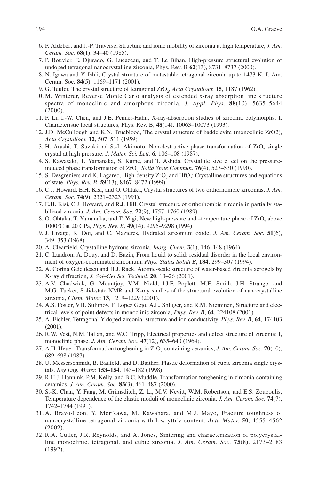- 6. P. Aldebert and J.-P. Traverse, Structure and ionic mobility of zirconia at high temperature, *J. Am. Ceram. Soc.* **68**(1), 34–40 (1985).
- 7. P. Bouvier, E. Djurado, G. Lucazeau, and T. Le Bihan, High-pressure structural evolution of undoped tetragonal nanocrystalline zirconia, Phys. Rev. B **62**(13), 8731–8737 (2000).
- 8. N. Igawa and Y. Ishii, Crystal structure of metastable tetragonal zirconia up to 1473 K, J. Am. Ceram. Soc. **84**(5), 1169–1171 (2001).
- 9. G. Teufer, The crystal structure of tetragonal ZrO<sub>2</sub>, Acta Crystallogr. **15**, 1187 (1962).
- 10. M. Winterer, Reverse Monte Carlo analysis of extended x-ray absorption fine structure spectra of monoclinic and amorphous zirconia, *J. Appl. Phys.* **88**(10), 5635–5644 (2000).
- 11. P. Li, I.-W. Chen, and J.E. Penner-Hahn, X-ray-absorption studies of zirconia polymorphs. I. Characteristic local structures, Phys. Rev. B, **48**(14), 10063–10073 (1993).
- 12. J.D. McCullough and K.N. Trueblood, The crystal structure of baddeleyite (monoclinic ZrO2), *Acta Crystallogr.* **12**, 507–511 (1959)
- 13. H. Arashi, T. Suzuki, ad S.-I. Akimoto, Non-destructive phase transformation of  $ZrO<sub>2</sub>$  single crystal at high pressure, *J. Mater. Sci. Lett.* **6**, 106–108 (1987).
- 14. S. Kawasaki, T. Yamanaka, S. Kume, and T. Ashida, Crystallite size effect on the pressureinduced phase transformation of ZrO<sub>2</sub>, *Solid State Commun.* **76**(4), 527–530 (1990).
- 15. S. Desgreniers and K. Lagarec, High-density  $ZrO_2$  and  $HfO_2$ : Crystalline structures and equations of state, *Phys. Rev. B*, **59**(13), 8467–8472 (1999).
- 16. C.J. Howard, E.H. Kisi, and O. Ohtaka, Crystal structures of two orthorhombic zirconias, *J. Am. Ceram. Soc.* **74**(9), 2321–2323 (1991).
- 17. E.H. Kisi, C.J. Howard, and R.J. Hill, Crystal structure of orthorhombic zirconia in partially stabilized zirconia, *J. Am. Ceram. Soc.* **72**(9), 1757–1760 (1989).
- 18. O. Ohtaka, T. Yamanaka, and T. Yagi, New high-pressure and -temperature phase of  $ZrO<sub>2</sub>$  above 1000°C at 20 GPa, *Phys. Rev. B*, **49**(14), 9295–9298 (1994).
- 19. J. Livage, K. Doi, and C. Mazieres, Hydrated zirconium oxide, *J. Am. Ceram. Soc.* **51**(6), 349–353 (1968).
- 20. A. Clearfield, Crystalline hydrous zirconia, *Inorg. Chem.* **3**(1), 146–148 (1964).
- 21. C. Landron, A. Douy, and D. Bazin, From liquid to solid: residual disorder in the local environment of oxygen-coordinated zirconium, *Phys. Status Solidi B*, **184**, 299–307 (1994).
- 22. A. Corina Geiculescu and H.J. Rack, Atomic-scale structure of water-based zirconia xerogels by X-ray diffraction, *J. Sol–Gel Sci. Technol.* **20**, 13–26 (2001).
- 23. A.V. Chadwick, G. Mountjoy, V.M. Nield, I.J.F. Poplett, M.E. Smith, J.H. Strange, and M.G. Tucker, Solid-state NMR and X-ray studies of the structural evolution of nanocrystalline zirconia, *Chem. Mater.* **13**, 1219–1229 (2001).
- 24. A.S. Foster, V.B. Sulimov, F. Lopez Gejo, A.L. Shluger, and R.M. Nieminen, Structure and electrical levels of point defects in monoclinic zirconia, *Phys. Rev. B*, **64**, 224108 (2001).
- 25. A. Eichler, Tetragonal Y-doped zirconia: structure and ion conductivity, *Phys. Rev. B*, **64**, 174103 (2001).
- 26. R.W. Vest, N.M. Tallan, and W.C. Tripp, Electrical properties and defect structure of zirconia: I, monoclinic phase, *J. Am. Ceram. Soc.* **47**(12), 635–640 (1964).
- 27. A.H. Heuer, Transformation toughening in ZrO<sub>2</sub>-containing ceramics, *J. Am. Ceram. Soc.* **70**(10), 689–698 (1987).
- 28. U. Messerschmidt, B. Baufeld, and D. Baither, Plastic deformation of cubic zirconia single crystals, *Key Eng. Mater.* **153–154**, 143–182 (1998).
- 29. R.H.J. Hannink, P.M. Kelly, and B.C. Muddle, Transformation toughening in zirconia- containing ceramics, *J. Am. Ceram. Soc.* **83**(3), 461–487 (2000).
- 30. S.-K. Chan, Y. Fang, M. Grimsditch, Z. Li, M.V. Nevitt, W.M. Robertson, and E.S. Zouboulis, Temperature dependence of the elastic moduli of monoclinic zirconia, *J. Am. Ceram. Soc.* **74**(7), 1742–1744 (1991).
- 31. A. Bravo-Leon, Y. Morikawa, M. Kawahara, and M.J. Mayo, Fracture toughness of nanocrystalline tetragonal zirconia with low yttria content, *Acta Mater.* **50**, 4555–4562 (2002).
- 32. R.A. Cutler, J.R. Reynolds, and A. Jones, Sintering and characterization of polycrystalline monoclinic, tetragonal, and cubic zirconia, *J. Am. Ceram. Soc.* **75**(8), 2173–2183 (1992).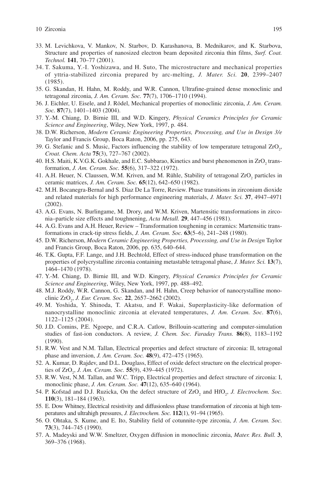- 33. M. Levichkova, V. Mankov, N. Starbov, D. Karashanova, B. Mednikarov, and K. Starbova, Structure and properties of nanosized electron beam deposited zirconia thin films, *Surf. Coat. Technol.* **141**, 70–77 (2001).
- 34. T. Sakuma, Y.-I. Yoshizawa, and H. Suto, The microstructure and mechanical properties of yttria-stabilized zirconia prepared by arc-melting, *J. Mater. Sci.* **20**, 2399–2407 (1985).
- 35. G. Skandan, H. Hahn, M. Roddy, and W.R. Cannon, Ultrafine-grained dense monoclinic and tetragonal zirconia, *J. Am. Ceram. Soc.* **77**(7), 1706–1710 (1994).
- 36. J. Eichler, U. Eisele, and J. Rödel, Mechanical properties of monoclinic zirconia, *J. Am. Ceram. Soc.* **87**(7), 1401–1403 (2004).
- 37. Y.-M. Chiang, D. Birnie III, and W.D. Kingery, *Physical Ceramics Principles for Ceramic Science and Engineering*, Wiley, New York, 1997, p. 484.
- 38. D.W. Richerson, *Modern Ceramic Engineering Properties, Processing, and Use in Design 3/e* Taylor and Francis Group, Boca Raton, 2006, pp. 275, 643.
- 39. G. Stefanic and S. Music, Factors influencing the stability of low temperature tetragonal  $ZrO<sub>2</sub>$ , *Croat. Chem. Acta* **75**(3), 727–767 (2002).
- 40. H.S. Maiti, K.V.G.K. Gokhale, and E.C. Subbarao, Kinetics and burst phenomenon in  $ZrO_2$  transformation, *J. Am. Ceram. Soc.* **55**(6), 317–322 (1972).
- 41. A.H. Heuer, N. Claussen, W.M. Kriven, and M. Rühle, Stability of tetragonal  $ZrO<sub>2</sub>$  particles in ceramic matrices, *J. Am. Ceram. Soc.* **65**(12), 642–650 (1982).
- 42. M.H. Bocanegra-Bernal and S. Diaz De La Torre, Review. Phase transitions in zirconium dioxide and related materials for high performance engineering materials, *J. Mater. Sci.* **37**, 4947–4971 (2002).
- 43. A.G. Evans, N. Burlingame, M. Drory, and W.M. Kriven, Martensitic transformations in zirconia–particle size effects and toughnening, *Acta Metall.* **29**, 447–456 (1981).
- 44. A.G. Evans and A.H. Heuer, Review Transformation toughening in ceramics: Martensitic transformations in crack-tip stress fields, *J. Am. Ceram. Soc.* **63**(5–6), 241–248 (1980).
- 45. D.W. Richerson, *Modern Ceramic Engineering Properties, Processing, and Use in Design* Taylor and Francis Group, Boca Raton, 2006, pp. 635, 640–644.
- 46. T.K. Gupta, F.F. Lange, and J.H. Bechtold, Effect of stress-induced phase transformation on the properties of polycrystalline zirconia containing metastable tetragonal phase, *J. Mater. Sci.* **13**(7), 1464–1470 (1978).
- 47. Y.-M. Chiang, D. Birnie III, and W.D. Kingery, *Physical Ceramics Principles for Ceramic Science and Engineering*, Wiley, New York, 1997, pp. 488–492.
- 48. M.J. Roddy, W.R. Cannon, G. Skandan, and H. Hahn, Creep behavior of nanocrystalline monoclinic ZrO2 , *J. Eur. Ceram. Soc.* **22**, 2657–2662 (2002).
- 49. M. Yoshida, Y. Shinoda, T. Akatsu, and F. Wakai, Superplasticity-like deformation of nanocrystalline monoclinic zirconia at elevated temperatures, *J. Am. Ceram. Soc.* **87**(6), 1122–1125 (2004).
- 50. J.D. Comins, P.E. Ngoepe, and C.R.A. Catlow, Brillouin-scattering and computer-simulation studies of fast-ion conductors. A review, *J. Chem. Soc. Faraday Trans.* **86**(8), 1183–1192 (1990).
- 51. R.W. Vest and N.M. Tallan, Electrical properties and defect structure of zirconia: II, tetragonal phase and inversion, *J. Am. Ceram. Soc.* **48**(9), 472–475 (1965).
- 52. A. Kumar, D. Rajdev, and D.L. Douglass, Effect of oxide defect structure on the electrical properties of ZrO<sub>2</sub>, *J. Am. Ceram. Soc.* **55**(9), 439–445 (1972).
- 53. R.W. Vest, N.M. Tallan, and W.C. Tripp, Electrical properties and defect structure of zirconia: I, monoclinic phase, *J. Am. Ceram. Soc.* **47**(12), 635–640 (1964).
- 54. P. Kofstad and D.J. Ruzicka, On the defect structure of  $ZrO<sub>2</sub>$  and  $HfO<sub>2</sub>$ , *J. Electrochem. Soc.* **110**(3), 181–184 (1963).
- 55. E. Dow Whitney, Electrical resistivity and diffusionless phase transformation of zirconia at high temperatures and ultrahigh pressures, *J. Electrochem. Soc.* **112**(1), 91–94 (1965).
- 56. O. Ohtaka, S. Kume, and E. Ito, Stability field of cotunnite-type zirconia, *J. Am. Ceram. Soc.* **73**(3), 744–745 (1990).
- 57. A. Madeyski and W.W. Smeltzer, Oxygen diffusion in monoclinic zirconia, *Mater. Res. Bull.* **3**, 369–376 (1968).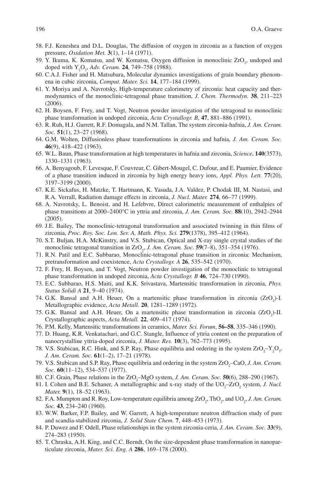- 58. F.J. Keneshea and D.L. Douglas, The diffusion of oxygen in zirconia as a function of oxygen pressure, *Oxidation Met.* **3**(1), 1–14 (1971).
- 59. Y. Ikuma, K. Komatsu, and W. Komatsu, Oxygen diffusion in monoclinic ZrO<sub>2</sub>, undoped and doped with  $Y_2O_3$ , *Adv. Ceram.* **24**, 749–758 (1988).
- 60. C.A.J. Fisher and H. Matsubara, Molecular dynamics investigations of grain boundary phenomena in cubic zirconia, *Comput. Mater. Sci.* **14**, 177–184 (1999).
- 61. Y. Moriya and A. Navrotsky, High-temperature calorimetry of zirconia: heat capacity and thermodynamics of the monoclinic-tetragonal phase transition, *J. Chem. Thermodyn.* **38**, 211–223 (2006).
- 62. H. Boysen, F. Frey, and T. Vogt, Neutron powder investigation of the tetragonal to monoclinic phase transformation in undoped zirconia, *Acta Crystallogr. B*, **47**, 881–886 (1991).
- 63. R. Ruh, H.J. Garrett, R.F. Domagala, and N.M. Tallan, The system zirconia-hafnia, *J. Am. Ceram. Soc.* **51**(1), 23–27 (1968).
- 64. G.M. Wolten, Diffusionless phase transformations in zirconia and hafnia, *J. Am. Ceram. Soc.* **46**(9), 418–422 (1963).
- 65. W.L. Baun, Phase transformation at high temperatures in hafnia and zirconia, *Science*, **140**(3573), 1330–1331 (1963).
- 66. A. Benyagoub, F. Levesque, F. Couvreur, C. Gibert-Mougel, C. Dufour, and E. Paumier, Evidence of a phase transition induced in zirconia by high energy heavy ions, *Appl. Phys. Lett.* **77**(20), 3197–3199 (2000).
- 67. K.E. Sickafus, H. Matzke, T. Hartmann, K. Yasuda, J.A. Valdez, P. Chodak III, M. Nastasi, and R.A. Verrall, Radiation damage effects in zirconia, *J. Nucl. Mater.* **274**, 66–77 (1999).
- 68. A. Navrotsky, L. Benoist, and H. Lefebvre, Direct calorimetric measurement of enthalpies of phase transitions at 2000–2400°C in yttria and zirconia, *J. Am. Ceram. Soc.* **88**(10), 2942–2944 (2005).
- 69. J.E. Bailey, The monoclinic-tetragonal transformation and associated twinning in thin films of zirconia, *Proc. Roy. Soc. Lon. Ser. A, Math. Phys. Sci.* **279**(1378), 395–412 (1964).
- 70. S.T. Buljan, H.A. McKinstry, and V.S. Stubican, Optical and X-ray single crystal studies of the monoclinic tetragonal transition in ZrO<sub>2</sub>, *J. Am. Ceram. Soc.* **59**(7–8), 351–354 (1976).
- 71. R.N. Patil and E.C. Subbarao, Monoclinic-tetragonal phase transition in zirconia: Mechanism, pretransformation and coexistence, *Acta Crystallogr. A* **26**, 535–542 (1970).
- 72. F. Frey, H. Boysen, and T. Vogt, Neutron powder investigation of the monoclinic to tetragonal phase transformation in undoped zirconia, *Acta Crystallogr. B* **46**, 724–730 (1990).
- 73. E.C. Subbarao, H.S. Maiti, and K.K. Srivastava, Martensitic transformation in zirconia, *Phys. Status Solidi A* **21**, 9–40 (1974).
- 74. G.K. Bansal and A.H. Heuer, On a martensitic phase transformation in zirconia  $(ZrO<sub>2</sub>)$ -I. Metallographic evidence, *Acta Metall.* **20**, 1281–1289 (1972).
- 75. G.K. Bansal and A.H. Heuer, On a martensitic phase transformation in zirconia  $(ZrO<sub>2</sub>)$ -II. Crystallographic aspects, *Acta Metall.* **22**, 409–417 (1974).
- 76. P.M. Kelly, Martensitic transformations in ceramics, *Mater. Sci. Forum*, **56–58**, 335–346 (1990).
- 77. D. Huang, K.R. Venkatachari, and G.C. Stangle, Influence of yttria content on the preparation of nanocrystalline yttria-doped zirconia, *J. Mater. Res.* **10**(3), 762–773 (1995).
- 78. V.S. Stubican, R.C. Hink, and S.P. Ray, Phase equilibria and ordering in the system  $ZrO<sub>2</sub>-Y<sub>2</sub>O<sub>3</sub>$ , *J. Am. Ceram. Soc.* **61**(1–2), 17–21 (1978).
- 79. V.S. Stubican and S.P. Ray, Phase equilibria and ordering in the system ZrO<sub>2</sub>-CaO, *J. Am. Ceram. Soc.* **60**(11–12), 534–537 (1977).
- 80. C.F. Grain, Phase relations in the ZrO<sub>2</sub>-MgO system, *J. Am. Ceram. Soc.* **50**(6), 288–290 (1967).
- 81. I. Cohen and B.E. Schaner, A metallographic and x-ray study of the  $UO_2$ -ZrO<sub>2</sub> system, *J. Nucl. Mater.* **9**(1), 18–52 (1963).
- 82. F.A. Mumpton and R. Roy, Low-temperature equilibria among  $ZrO_2$ , Th $O_2$ , and U $O_2$ , *J. Am. Ceram. Soc.* **43**, 234–240 (1960).
- 83. W.W. Barker, F.P. Bailey, and W. Garrett, A high-temperature neutron diffraction study of pure and scandia-stabilized zirconia, *J. Solid State Chem.* **7**, 448–453 (1973).
- 84. P. Duwez and F. Odell, Phase relationships in the system zirconia-ceria, *J. Am. Ceram. Soc.* **33**(9), 274–283 (1950).
- 85. T. Chraska, A.H. King, and C.C. Berndt, On the size-dependent phase transformation in nanoparticulate zirconia, *Mater. Sci. Eng. A* **286**, 169–178 (2000).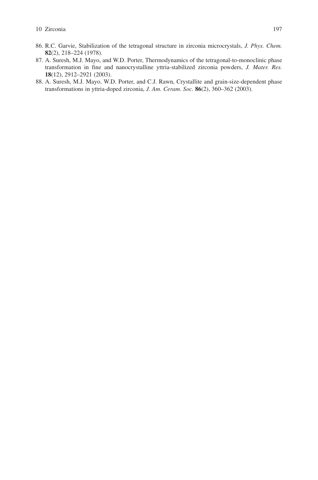- 86. R.C. Garvie, Stabilization of the tetragonal structure in zirconia microcrystals, *J. Phys. Chem.* **82**(2), 218–224 (1978).
- 87. A. Suresh, M.J. Mayo, and W.D. Porter, Thermodynamics of the tetragonal-to-monoclinic phase transformation in fine and nanocrystalline yttria-stabilized zirconia powders, *J. Mater. Res.* **18**(12), 2912–2921 (2003).
- 88. A. Suresh, M.J. Mayo, W.D. Porter, and C.J. Rawn, Crystallite and grain-size-dependent phase transformations in yttria-doped zirconia, *J. Am. Ceram. Soc.* **86**(2), 360–362 (2003).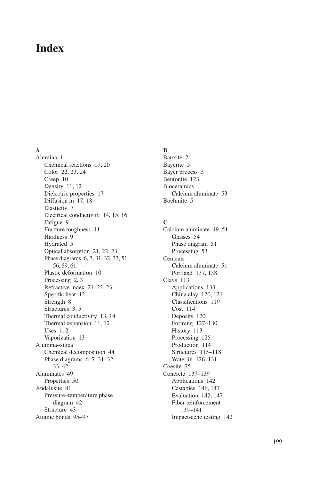# **Index**

## **A**

Alumina 1 Chemical reactions 19, 20 Color 22, 23, 24 Creep 10 Density 11, 12 Dielectric properties 17 Diffusion in 17, 18 Elasticity 7 Electrical conductivity 14, 15, 16 Fatigue 9 Fracture toughness 11 Hardness 9 Hydrated 5 Optical absorption 21, 22, 23 Phase diagrams 6, 7, 31, 32, 33, 51, 56, 59, 61 Plastic deformation 10 Processing 2, 3 Refractive index 21, 22, 23 Specific heat 12 Strength 8 Structures 3, 5 Thermal conductivity 13, 14 Thermal expansion 11, 12 Uses 1, 2 Vaporization 13 Alumina–silica Chemical decomposition 44 Phase diagrams 6, 7, 31, 32, 33, 42 Aluminates 49 Properties 50 Andalusite 41 Pressure–temperature phase diagram 42 Structure 43 Atomic bonds 95–97

# **B**

Bauxite 2 Bayerite 5 Bayer process 3 Bentonite 123 **Bioceramics** Calcium aluminate 53 Boehmite 5

## **C**

Calcium aluminate 49, 51 Glasses 54 Phase diagram 51 Processing 53 Cements Calcium aluminate 51 Portland 137, 138 Clays 113 Applications 133 China clay 120, 121 Classifications 119 Cost 114 Deposits 120 Forming 127–130 History 113 Processing 125 Production 114 Structures 115–118 Water in 126, 131 Coesite 75 Concrete 137–139 Applications 142 Castables 146, 147 Evaluation 142, 147 Fiber reinforcement 139–141 Impact-echo testing 142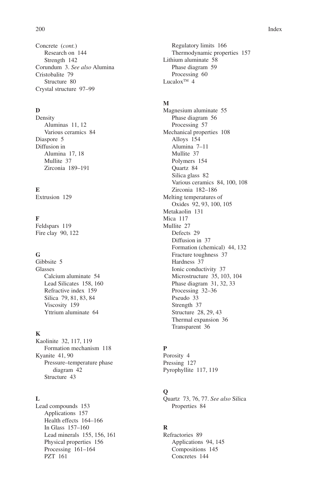Concrete (*cont.*) Research on 144 Strength 142 Corundum 3. *See also* Alumina Cristobalite 79 Structure 80 Crystal structure 97–99

## **D**

Density Aluminas 11, 12 Various ceramics 84 Diaspore 5 Diffusion in Alumina 17, 18 Mullite 37 Zirconia 189–191

#### **E**

Extrusion 129

#### **F**

Feldspars 119 Fire clay 90, 122

#### **G**

Gibbsite 5 Glasses Calcium aluminate 54 Lead Silicates 158, 160 Refractive index 159 Silica 79, 81, 83, 84 Viscosity 159 Yttrium aluminate 64

#### **K**

Kaolinite 32, 117, 119 Formation mechanism 118 Kyanite 41, 90 Pressure–temperature phase diagram 42 Structure 43

#### **L**

Lead compounds 153 Applications 157 Health effects 164–166 In Glass 157–160 Lead minerals 155, 156, 161 Physical properties 156 Processing 161–164 PZT 161

Regulatory limits 166 Thermodynamic properties 157 Lithium aluminate 58 Phase diagram 59 Processing 60 Lucalo $x^{TM}$  4

#### **M**

Magnesium aluminate 55 Phase diagram 56 Processing 57 Mechanical properties 108 Alloys 154 Alumina 7–11 Mullite 37 Polymers 154 Quartz 84 Silica glass 82 Various ceramics 84, 100, 108 Zirconia 182–186 Melting temperatures of Oxides 92, 93, 100, 105 Metakaolin 131 Mica 117 Mullite 27 Defects 29 Diffusion in 37 Formation (chemical) 44, 132 Fracture toughness 37 Hardness 37 Ionic conductivity 37 Microstructure 35, 103, 104 Phase diagram 31, 32, 33 Processing 32–36 Pseudo 33 Strength 37 Structure 28, 29, 43 Thermal expansion 36 Transparent 36

#### **P**

Porosity 4 Pressing 127 Pyrophyllite 117, 119

#### **Q**

Quartz 73, 76, 77. *See also* Silica Properties 84

#### **R**

Refractories 89 Applications 94, 145 Compositions 145 Concretes 144